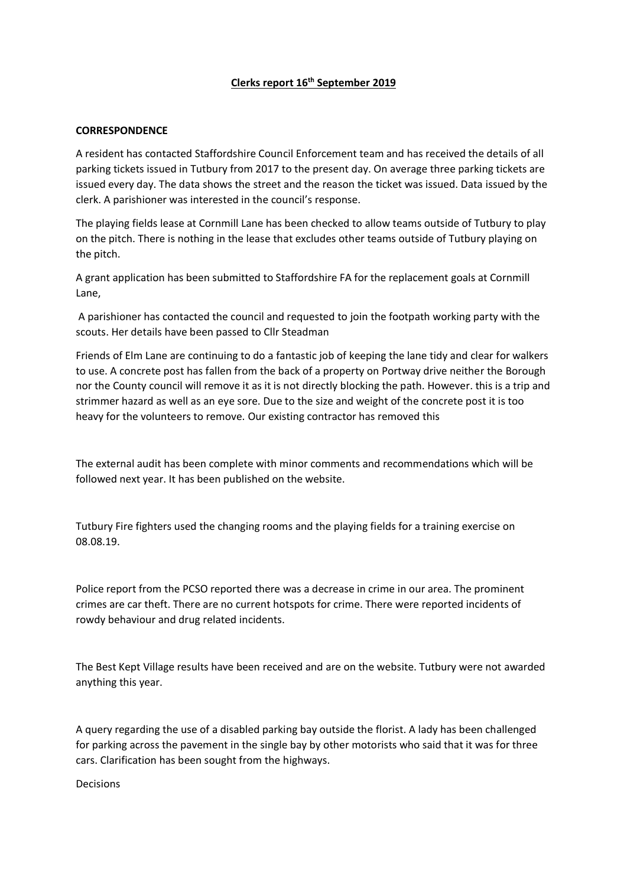### **Clerks report 16th September 2019**

### **CORRESPONDENCE**

A resident has contacted Staffordshire Council Enforcement team and has received the details of all parking tickets issued in Tutbury from 2017 to the present day. On average three parking tickets are issued every day. The data shows the street and the reason the ticket was issued. Data issued by the clerk. A parishioner was interested in the council's response.

The playing fields lease at Cornmill Lane has been checked to allow teams outside of Tutbury to play on the pitch. There is nothing in the lease that excludes other teams outside of Tutbury playing on the pitch.

A grant application has been submitted to Staffordshire FA for the replacement goals at Cornmill Lane,

A parishioner has contacted the council and requested to join the footpath working party with the scouts. Her details have been passed to Cllr Steadman

Friends of Elm Lane are continuing to do a fantastic job of keeping the lane tidy and clear for walkers to use. A concrete post has fallen from the back of a property on Portway drive neither the Borough nor the County council will remove it as it is not directly blocking the path. However. this is a trip and strimmer hazard as well as an eye sore. Due to the size and weight of the concrete post it is too heavy for the volunteers to remove. Our existing contractor has removed this

The external audit has been complete with minor comments and recommendations which will be followed next year. It has been published on the website.

Tutbury Fire fighters used the changing rooms and the playing fields for a training exercise on 08.08.19.

Police report from the PCSO reported there was a decrease in crime in our area. The prominent crimes are car theft. There are no current hotspots for crime. There were reported incidents of rowdy behaviour and drug related incidents.

The Best Kept Village results have been received and are on the website. Tutbury were not awarded anything this year.

A query regarding the use of a disabled parking bay outside the florist. A lady has been challenged for parking across the pavement in the single bay by other motorists who said that it was for three cars. Clarification has been sought from the highways.

Decisions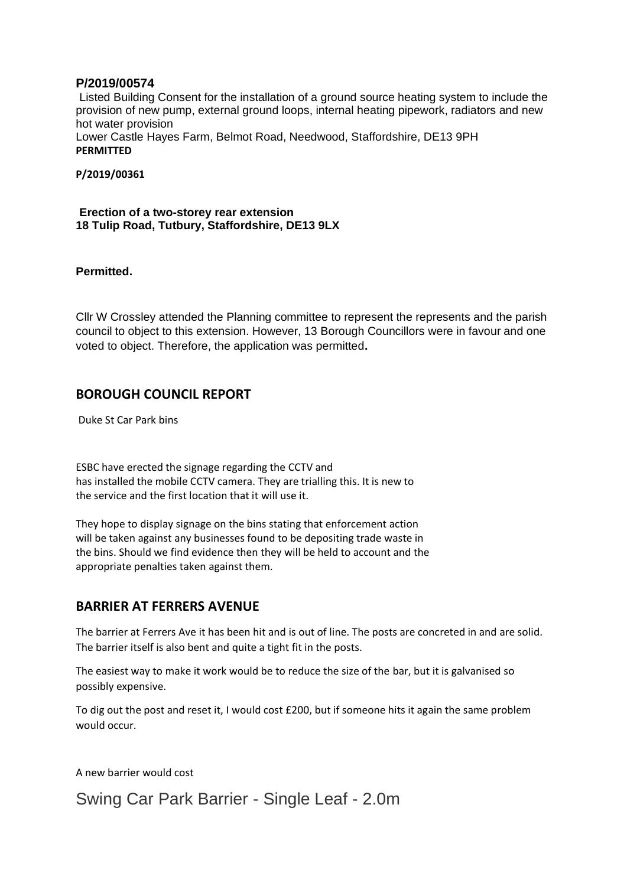### **P/2019/00574**

Listed Building Consent for the installation of a ground source heating system to include the provision of new pump, external ground loops, internal heating pipework, radiators and new hot water provision Lower Castle Hayes Farm, Belmot Road, Needwood, Staffordshire, DE13 9PH **PERMITTED**

**P/2019/00361**

**Erection of a two-storey rear extension 18 Tulip Road, Tutbury, Staffordshire, DE13 9LX**

**Permitted.**

Cllr W Crossley attended the Planning committee to represent the represents and the parish council to object to this extension. However, 13 Borough Councillors were in favour and one voted to object. Therefore, the application was permitted**.**

## **BOROUGH COUNCIL REPORT**

Duke St Car Park bins

ESBC have erected the signage regarding the CCTV and has installed the mobile CCTV camera. They are trialling this. It is new to the service and the first location that it will use it.

They hope to display signage on the bins stating that enforcement action will be taken against any businesses found to be depositing trade waste in the bins. Should we find evidence then they will be held to account and the appropriate penalties taken against them.

## **BARRIER AT FERRERS AVENUE**

The barrier at Ferrers Ave it has been hit and is out of line. The posts are concreted in and are solid. The barrier itself is also bent and quite a tight fit in the posts.

The easiest way to make it work would be to reduce the size of the bar, but it is galvanised so possibly expensive.

To dig out the post and reset it, I would cost £200, but if someone hits it again the same problem would occur.

A new barrier would cost

Swing Car Park Barrier - Single Leaf - 2.0m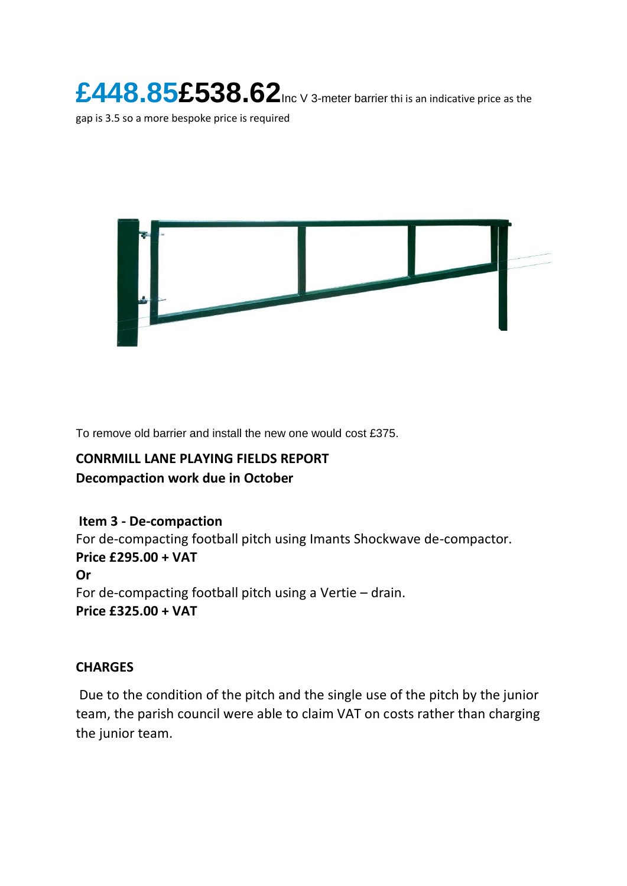**£448.85£538.62**Inc V 3-meter barrier thi is an indicative price as the

gap is 3.5 so a more bespoke price is required



To remove old barrier and install the new one would cost £375.

## **CONRMILL LANE PLAYING FIELDS REPORT**

## **Decompaction work due in October**

## **Item 3 - De-compaction**

For de-compacting football pitch using Imants Shockwave de-compactor. **Price £295.00 + VAT Or**  For de-compacting football pitch using a Vertie – drain. **Price £325.00 + VAT**

## **CHARGES**

Due to the condition of the pitch and the single use of the pitch by the junior team, the parish council were able to claim VAT on costs rather than charging the junior team.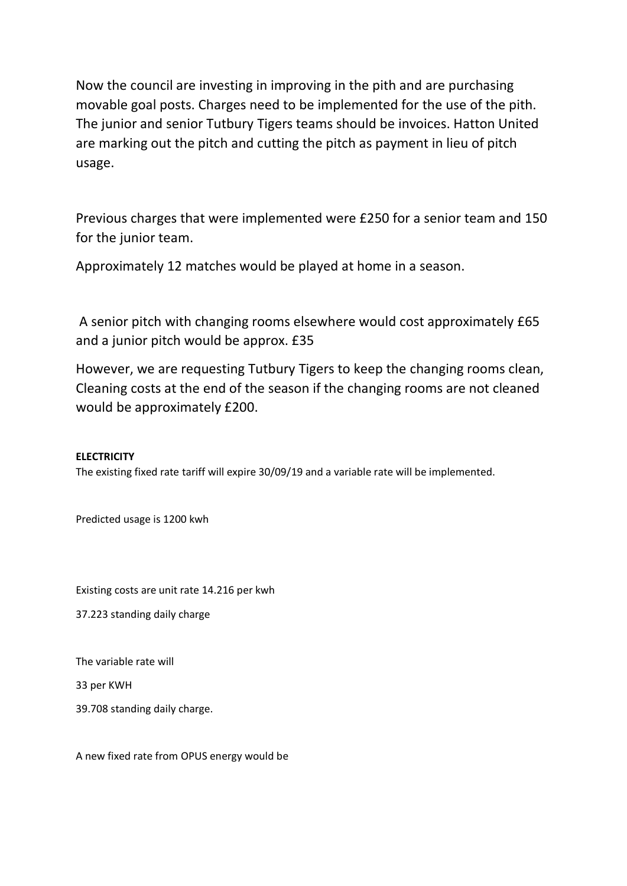Now the council are investing in improving in the pith and are purchasing movable goal posts. Charges need to be implemented for the use of the pith. The junior and senior Tutbury Tigers teams should be invoices. Hatton United are marking out the pitch and cutting the pitch as payment in lieu of pitch usage.

Previous charges that were implemented were £250 for a senior team and 150 for the junior team.

Approximately 12 matches would be played at home in a season.

A senior pitch with changing rooms elsewhere would cost approximately £65 and a junior pitch would be approx. £35

However, we are requesting Tutbury Tigers to keep the changing rooms clean, Cleaning costs at the end of the season if the changing rooms are not cleaned would be approximately £200.

### **ELECTRICITY**

The existing fixed rate tariff will expire 30/09/19 and a variable rate will be implemented.

Predicted usage is 1200 kwh

Existing costs are unit rate 14.216 per kwh

37.223 standing daily charge

The variable rate will

33 per KWH

39.708 standing daily charge.

A new fixed rate from OPUS energy would be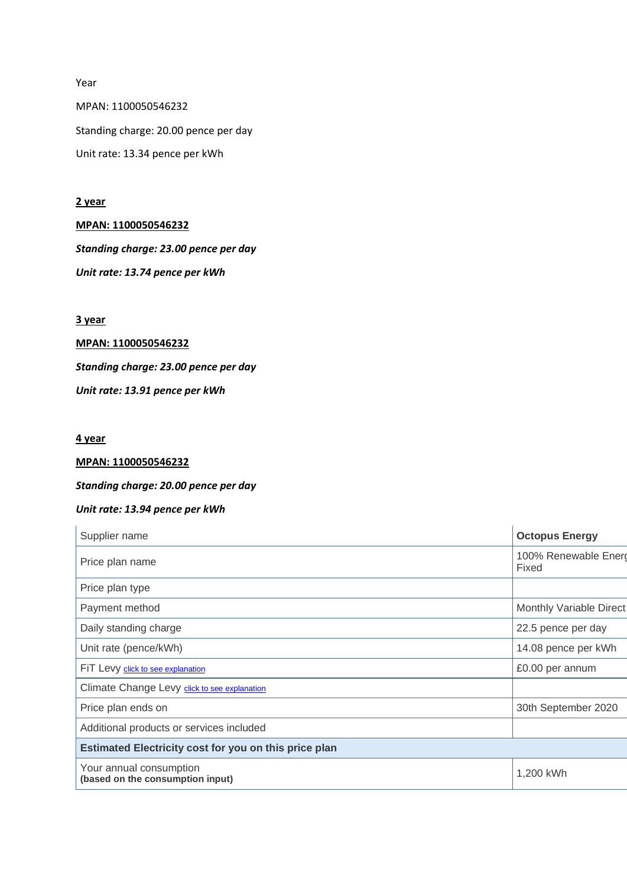Year MPAN: 1100050546232 Standing charge: 20.00 pence per day Unit rate: 13.34 pence per kWh

### **2 year**

### **MPAN: 1100050546232**

*Standing charge: 23.00 pence per day Unit rate: 13.74 pence per kWh*

### **3 year**

# **MPAN: 1100050546232**

*Standing charge: 23.00 pence per day*

*Unit rate: 13.91 pence per kWh*

### **4 year**

### **MPAN: 1100050546232**

### *Standing charge: 20.00 pence per day*

### *Unit rate: 13.94 pence per kWh*

| Supplier name                                               | <b>Octopus Energy</b>          |
|-------------------------------------------------------------|--------------------------------|
| Price plan name                                             | 100% Renewable Energ<br>Fixed  |
| Price plan type                                             |                                |
| Payment method                                              | <b>Monthly Variable Direct</b> |
| Daily standing charge                                       | 22.5 pence per day             |
| Unit rate (pence/kWh)                                       | 14.08 pence per kWh            |
| FIT Levy click to see explanation                           | £0.00 per annum                |
| Climate Change Levy click to see explanation                |                                |
| Price plan ends on                                          | 30th September 2020            |
| Additional products or services included                    |                                |
| Estimated Electricity cost for you on this price plan       |                                |
| Your annual consumption<br>(based on the consumption input) | 1,200 kWh                      |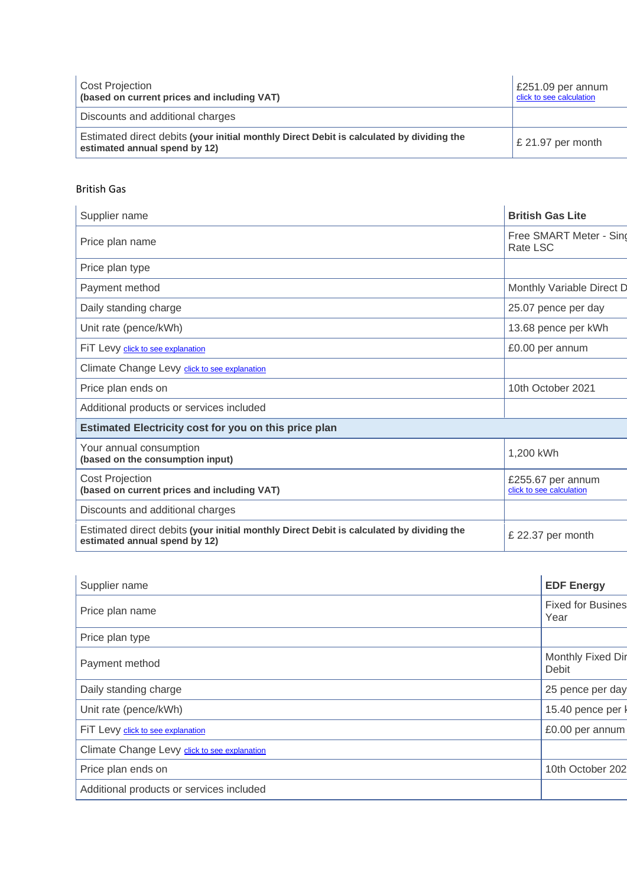| <b>Cost Projection</b><br>(based on current prices and including VAT)                                                     | $\vert$ £251.09 per annum<br>click to see calculation |
|---------------------------------------------------------------------------------------------------------------------------|-------------------------------------------------------|
| Discounts and additional charges                                                                                          |                                                       |
| Estimated direct debits (your initial monthly Direct Debit is calculated by dividing the<br>estimated annual spend by 12) | $\mathsf{E}$ 21.97 per month                          |

### British Gas

| Supplier name                                                                                                             | <b>British Gas Lite</b>                       |
|---------------------------------------------------------------------------------------------------------------------------|-----------------------------------------------|
| Price plan name                                                                                                           | Free SMART Meter - Sinc<br>Rate LSC           |
| Price plan type                                                                                                           |                                               |
| Payment method                                                                                                            | Monthly Variable Direct D                     |
| Daily standing charge                                                                                                     | 25.07 pence per day                           |
| Unit rate (pence/kWh)                                                                                                     | 13.68 pence per kWh                           |
| FiT Levy click to see explanation                                                                                         | £0.00 per annum                               |
| Climate Change Levy click to see explanation                                                                              |                                               |
| Price plan ends on                                                                                                        | 10th October 2021                             |
| Additional products or services included                                                                                  |                                               |
| <b>Estimated Electricity cost for you on this price plan</b>                                                              |                                               |
| Your annual consumption<br>(based on the consumption input)                                                               | 1,200 kWh                                     |
| <b>Cost Projection</b><br>(based on current prices and including VAT)                                                     | £255.67 per annum<br>click to see calculation |
| Discounts and additional charges                                                                                          |                                               |
| Estimated direct debits (your initial monthly Direct Debit is calculated by dividing the<br>estimated annual spend by 12) | £ 22.37 per month                             |

| <b>EDF Energy</b>                |
|----------------------------------|
| <b>Fixed for Busines</b><br>Year |
|                                  |
| Monthly Fixed Dir<br>Debit       |
| 25 pence per day                 |
| 15.40 pence per l                |
| £0.00 per annum                  |
|                                  |
| 10th October 202                 |
|                                  |
|                                  |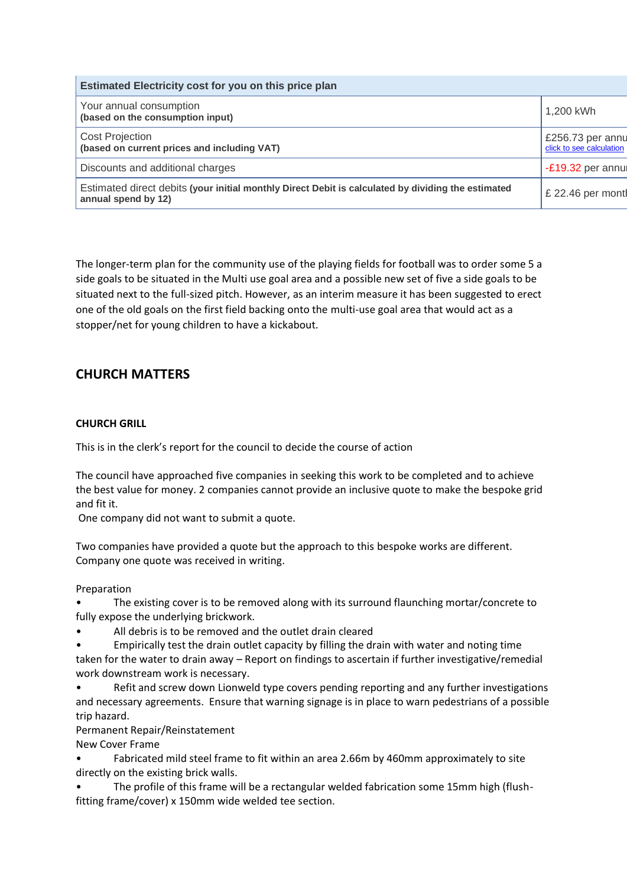| Estimated Electricity cost for you on this price plan                                                                     |                                              |  |
|---------------------------------------------------------------------------------------------------------------------------|----------------------------------------------|--|
| Your annual consumption<br>(based on the consumption input)                                                               | 1,200 kWh                                    |  |
| <b>Cost Projection</b><br>(based on current prices and including VAT)                                                     | £256.73 per annu<br>click to see calculation |  |
| Discounts and additional charges                                                                                          | -£19.32 per annul                            |  |
| Estimated direct debits (your initial monthly Direct Debit is calculated by dividing the estimated<br>annual spend by 12) | £ 22.46 per montl                            |  |

The longer-term plan for the community use of the playing fields for football was to order some 5 a side goals to be situated in the Multi use goal area and a possible new set of five a side goals to be situated next to the full-sized pitch. However, as an interim measure it has been suggested to erect one of the old goals on the first field backing onto the multi-use goal area that would act as a stopper/net for young children to have a kickabout.

## **CHURCH MATTERS**

### **CHURCH GRILL**

This is in the clerk's report for the council to decide the course of action

The council have approached five companies in seeking this work to be completed and to achieve the best value for money. 2 companies cannot provide an inclusive quote to make the bespoke grid and fit it.

One company did not want to submit a quote.

Two companies have provided a quote but the approach to this bespoke works are different. Company one quote was received in writing.

Preparation

• The existing cover is to be removed along with its surround flaunching mortar/concrete to fully expose the underlying brickwork.

All debris is to be removed and the outlet drain cleared

• Empirically test the drain outlet capacity by filling the drain with water and noting time taken for the water to drain away – Report on findings to ascertain if further investigative/remedial work downstream work is necessary.

• Refit and screw down Lionweld type covers pending reporting and any further investigations and necessary agreements. Ensure that warning signage is in place to warn pedestrians of a possible trip hazard.

Permanent Repair/Reinstatement

New Cover Frame

• Fabricated mild steel frame to fit within an area 2.66m by 460mm approximately to site directly on the existing brick walls.

• The profile of this frame will be a rectangular welded fabrication some 15mm high (flushfitting frame/cover) x 150mm wide welded tee section.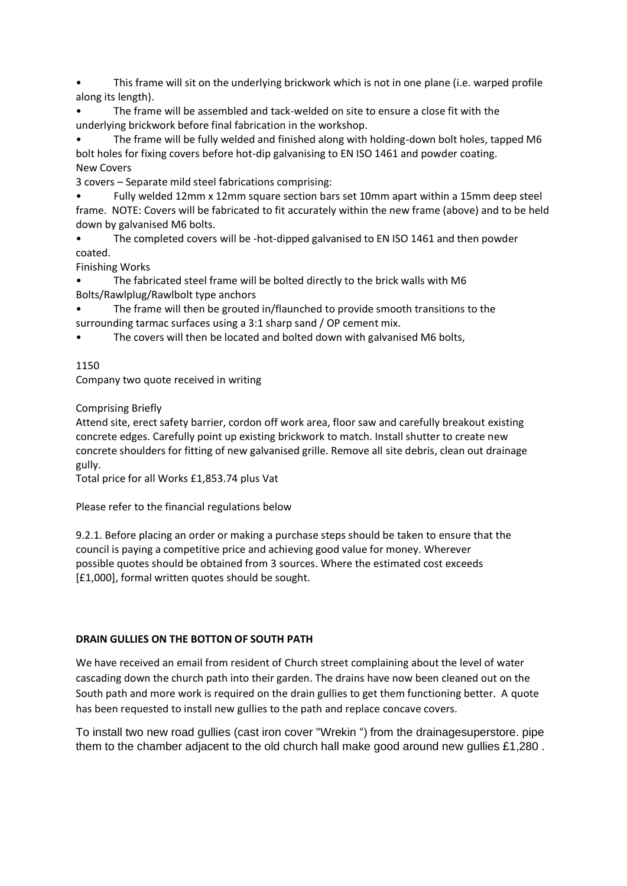• This frame will sit on the underlying brickwork which is not in one plane (i.e. warped profile along its length).

• The frame will be assembled and tack-welded on site to ensure a close fit with the underlying brickwork before final fabrication in the workshop.

• The frame will be fully welded and finished along with holding-down bolt holes, tapped M6 bolt holes for fixing covers before hot-dip galvanising to EN ISO 1461 and powder coating. New Covers

3 covers – Separate mild steel fabrications comprising:

• Fully welded 12mm x 12mm square section bars set 10mm apart within a 15mm deep steel frame. NOTE: Covers will be fabricated to fit accurately within the new frame (above) and to be held down by galvanised M6 bolts.

• The completed covers will be -hot-dipped galvanised to EN ISO 1461 and then powder coated.

Finishing Works

• The fabricated steel frame will be bolted directly to the brick walls with M6 Bolts/Rawlplug/Rawlbolt type anchors

The frame will then be grouted in/flaunched to provide smooth transitions to the surrounding tarmac surfaces using a 3:1 sharp sand / OP cement mix.

The covers will then be located and bolted down with galvanised M6 bolts,

### 1150

Company two quote received in writing

Comprising Briefly

Attend site, erect safety barrier, cordon off work area, floor saw and carefully breakout existing concrete edges. Carefully point up existing brickwork to match. Install shutter to create new concrete shoulders for fitting of new galvanised grille. Remove all site debris, clean out drainage gully.

Total price for all Works £1,853.74 plus Vat

Please refer to the financial regulations below

9.2.1. Before placing an order or making a purchase steps should be taken to ensure that the council is paying a competitive price and achieving good value for money. Wherever possible quotes should be obtained from 3 sources. Where the estimated cost exceeds [£1,000], formal written quotes should be sought.

### **DRAIN GULLIES ON THE BOTTON OF SOUTH PATH**

We have received an email from resident of Church street complaining about the level of water cascading down the church path into their garden. The drains have now been cleaned out on the South path and more work is required on the drain gullies to get them functioning better. A quote has been requested to install new gullies to the path and replace concave covers.

To install two new road gullies (cast iron cover "Wrekin ") from the drainagesuperstore. pipe them to the chamber adjacent to the old church hall make good around new gullies £1,280 .